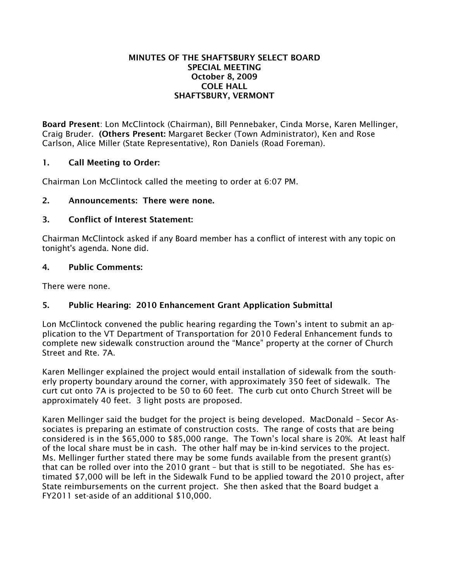#### MINUTES OF THE SHAFTSBURY SELECT BOARD SPECIAL MEETING October 8, 2009 COLE HALL SHAFTSBURY, VERMONT

Board Present: Lon McClintock (Chairman), Bill Pennebaker, Cinda Morse, Karen Mellinger, Craig Bruder. (Others Present: Margaret Becker (Town Administrator), Ken and Rose Carlson, Alice Miller (State Representative), Ron Daniels (Road Foreman).

## 1. Call Meeting to Order:

Chairman Lon McClintock called the meeting to order at 6:07 PM.

## 2. Announcements: There were none.

## 3. Conflict of Interest Statement:

Chairman McClintock asked if any Board member has a conflict of interest with any topic on tonight's agenda. None did.

### 4. Public Comments:

There were none.

# 5. Public Hearing: 2010 Enhancement Grant Application Submittal

Lon McClintock convened the public hearing regarding the Town's intent to submit an application to the VT Department of Transportation for 2010 Federal Enhancement funds to complete new sidewalk construction around the "Mance" property at the corner of Church Street and Rte. 7A.

Karen Mellinger explained the project would entail installation of sidewalk from the southerly property boundary around the corner, with approximately 350 feet of sidewalk. The curt cut onto 7A is projected to be 50 to 60 feet. The curb cut onto Church Street will be approximately 40 feet. 3 light posts are proposed.

Karen Mellinger said the budget for the project is being developed. MacDonald – Secor Associates is preparing an estimate of construction costs. The range of costs that are being considered is in the \$65,000 to \$85,000 range. The Town's local share is 20%. At least half of the local share must be in cash. The other half may be in-kind services to the project. Ms. Mellinger further stated there may be some funds available from the present grant(s) that can be rolled over into the 2010 grant – but that is still to be negotiated. She has estimated \$7,000 will be left in the Sidewalk Fund to be applied toward the 2010 project, after State reimbursements on the current project. She then asked that the Board budget a FY2011 set-aside of an additional \$10,000.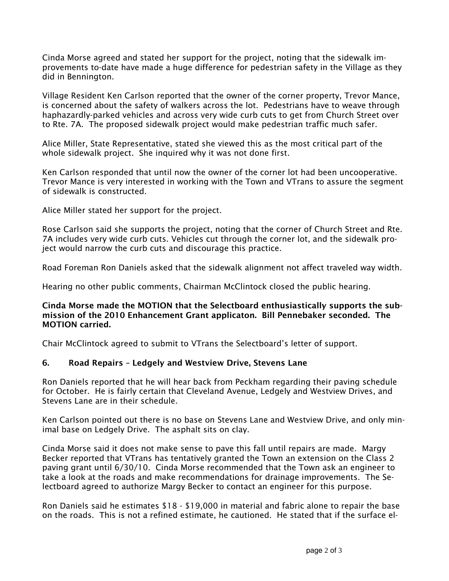Cinda Morse agreed and stated her support for the project, noting that the sidewalk improvements to-date have made a huge difference for pedestrian safety in the Village as they did in Bennington.

Village Resident Ken Carlson reported that the owner of the corner property, Trevor Mance, is concerned about the safety of walkers across the lot. Pedestrians have to weave through haphazardly-parked vehicles and across very wide curb cuts to get from Church Street over to Rte. 7A. The proposed sidewalk project would make pedestrian traffic much safer.

Alice Miller, State Representative, stated she viewed this as the most critical part of the whole sidewalk project. She inquired why it was not done first.

Ken Carlson responded that until now the owner of the corner lot had been uncooperative. Trevor Mance is very interested in working with the Town and VTrans to assure the segment of sidewalk is constructed.

Alice Miller stated her support for the project.

Rose Carlson said she supports the project, noting that the corner of Church Street and Rte. 7A includes very wide curb cuts. Vehicles cut through the corner lot, and the sidewalk project would narrow the curb cuts and discourage this practice.

Road Foreman Ron Daniels asked that the sidewalk alignment not affect traveled way width.

Hearing no other public comments, Chairman McClintock closed the public hearing.

### Cinda Morse made the MOTION that the Selectboard enthusiastically supports the submission of the 2010 Enhancement Grant applicaton. Bill Pennebaker seconded. The MOTION carried.

Chair McClintock agreed to submit to VTrans the Selectboard's letter of support.

## 6. Road Repairs – Ledgely and Westview Drive, Stevens Lane

Ron Daniels reported that he will hear back from Peckham regarding their paving schedule for October. He is fairly certain that Cleveland Avenue, Ledgely and Westview Drives, and Stevens Lane are in their schedule.

Ken Carlson pointed out there is no base on Stevens Lane and Westview Drive, and only minimal base on Ledgely Drive. The asphalt sits on clay.

Cinda Morse said it does not make sense to pave this fall until repairs are made. Margy Becker reported that VTrans has tentatively granted the Town an extension on the Class 2 paving grant until 6/30/10. Cinda Morse recommended that the Town ask an engineer to take a look at the roads and make recommendations for drainage improvements. The Selectboard agreed to authorize Margy Becker to contact an engineer for this purpose.

Ron Daniels said he estimates \$18 - \$19,000 in material and fabric alone to repair the base on the roads. This is not a refined estimate, he cautioned. He stated that if the surface el